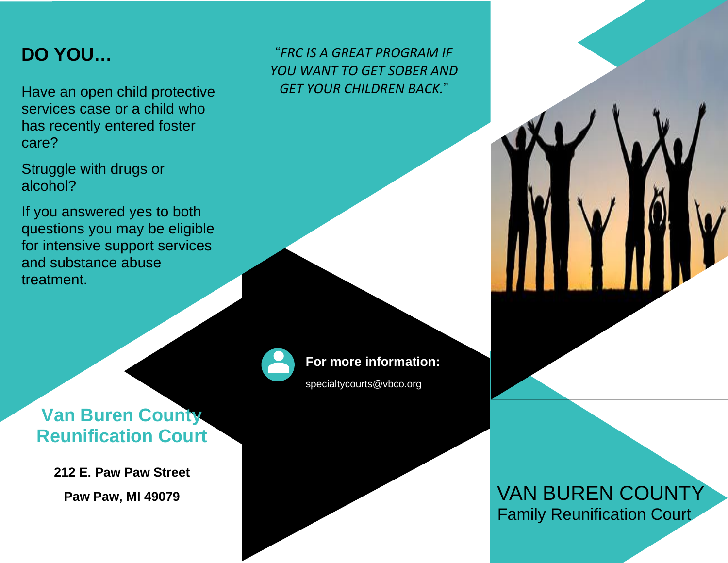# **DO YOU…**

Have an open child protective services case or a child who has recently entered foster care?

Struggle with drugs or alcohol?

If you answered yes to both questions you may be eligible for intensive support services and substance abuse treatment.

## "*FRC IS A GREAT PROGRAM IF YOU WANT TO GET SOBER AND GET YOUR CHILDREN BACK.*"



### **For more information:**

specialtycourts@vbco.org

# **Van Buren County Reunification Court**

**212 E. Paw Paw Street Paw Paw, MI 49079**

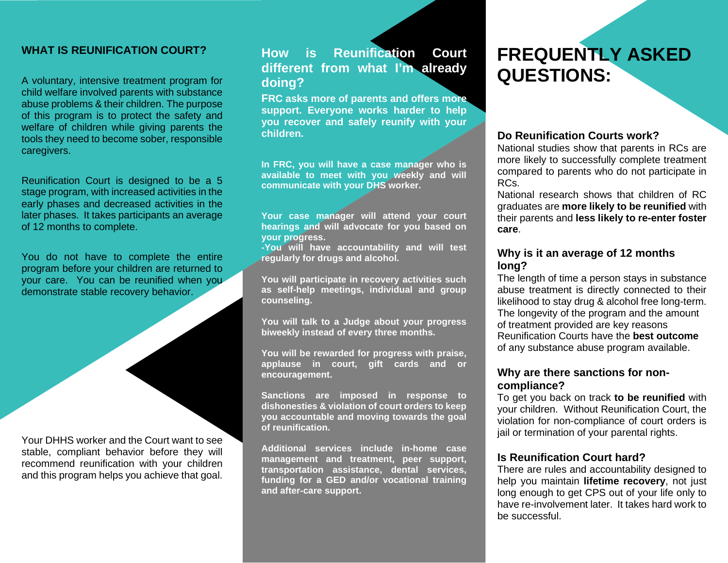### **WHAT IS REUNIFICATION COURT?**

A voluntary, intensive treatment program for child welfare involved parents with substance abuse problems & their children. The purpose of this program is to protect the safety and welfare of children while giving parents the tools they need to become sober, responsible caregivers.

Reunification Court is designed to be a 5 stage program, with increased activities in the early phases and decreased activities in the later phases. It takes participants an average of 12 months to complete.

You do not have to complete the entire program before your children are returned to your care. You can be reunified when you demonstrate stable recovery behavior.

Your DHHS worker and the Court want to see stable, compliant behavior before they will recommend reunification with your children and this program helps you achieve that goal.

### **How is Reunification Court different from what I'm already doing?**

**FRC asks more of parents and offers more support. Everyone works harder to help you recover and safely reunify with your children.** 

**In FRC, you will have a case manager who is available to meet with you weekly and will communicate with your DHS worker.**

**Your case manager will attend your court hearings and will advocate for you based on your progress.**

**-You will have accountability and will test regularly for drugs and alcohol.** 

**You will participate in recovery activities such as self-help meetings, individual and group counseling.**

**You will talk to a Judge about your progress biweekly instead of every three months.** 

**You will be rewarded for progress with praise, applause in court, gift cards and or encouragement.**

**Sanctions are imposed in response to dishonesties & violation of court orders to keep you accountable and moving towards the goal of reunification.** 

**Additional services include in-home case management and treatment, peer support, transportation assistance, dental services, funding for a GED and/or vocational training and after-care support.**

## **FREQUENTLY ASKED QUESTIONS:**

#### **Do Reunification Courts work?**

National studies show that parents in RCs are more likely to successfully complete treatment compared to parents who do not participate in RCs.

National research shows that children of RC graduates are **more likely to be reunified** with their parents and **less likely to re-enter foster care**.

### **Why is it an average of 12 months long?**

The length of time a person stays in substance abuse treatment is directly connected to their likelihood to stay drug & alcohol free long-term. The longevity of the program and the amount of treatment provided are key reasons Reunification Courts have the **best outcome** of any substance abuse program available.

### **Why are there sanctions for noncompliance?**

To get you back on track **to be reunified** with your children. Without Reunification Court, the violation for non-compliance of court orders is jail or termination of your parental rights.

### **Is Reunification Court hard?**

There are rules and accountability designed to help you maintain **lifetime recovery**, not just long enough to get CPS out of your life only to have re-involvement later. It takes hard work to be successful.